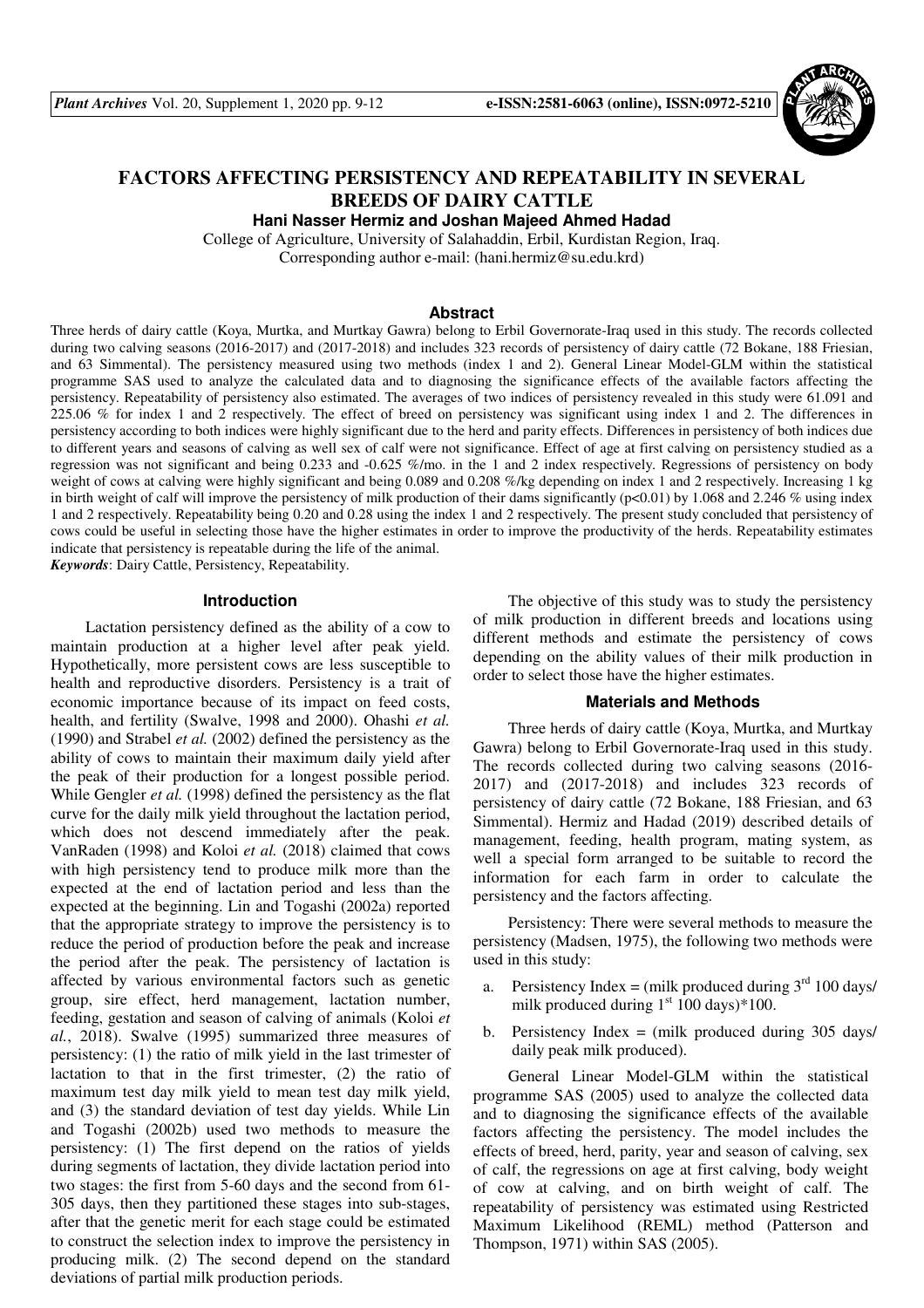

# **FACTORS AFFECTING PERSISTENCY AND REPEATABILITY IN SEVERAL BREEDS OF DAIRY CATTLE**

**Hani Nasser Hermiz and Joshan Majeed Ahmed Hadad** 

College of Agriculture, University of Salahaddin, Erbil, Kurdistan Region, Iraq. Corresponding author e-mail: (hani.hermiz@su.edu.krd)

#### **Abstract**

Three herds of dairy cattle (Koya, Murtka, and Murtkay Gawra) belong to Erbil Governorate-Iraq used in this study. The records collected during two calving seasons (2016-2017) and (2017-2018) and includes 323 records of persistency of dairy cattle (72 Bokane, 188 Friesian, and 63 Simmental). The persistency measured using two methods (index 1 and 2). General Linear Model-GLM within the statistical programme SAS used to analyze the calculated data and to diagnosing the significance effects of the available factors affecting the persistency. Repeatability of persistency also estimated. The averages of two indices of persistency revealed in this study were 61.091 and 225.06 % for index 1 and 2 respectively. The effect of breed on persistency was significant using index 1 and 2. The differences in persistency according to both indices were highly significant due to the herd and parity effects. Differences in persistency of both indices due to different years and seasons of calving as well sex of calf were not significance. Effect of age at first calving on persistency studied as a regression was not significant and being 0.233 and -0.625 %/mo. in the 1 and 2 index respectively. Regressions of persistency on body weight of cows at calving were highly significant and being 0.089 and 0.208 %/kg depending on index 1 and 2 respectively. Increasing 1 kg in birth weight of calf will improve the persistency of milk production of their dams significantly (p<0.01) by 1.068 and 2.246 % using index 1 and 2 respectively. Repeatability being 0.20 and 0.28 using the index 1 and 2 respectively. The present study concluded that persistency of cows could be useful in selecting those have the higher estimates in order to improve the productivity of the herds. Repeatability estimates indicate that persistency is repeatable during the life of the animal.

*Keywords*: Dairy Cattle, Persistency, Repeatability.

#### **Introduction**

Lactation persistency defined as the ability of a cow to maintain production at a higher level after peak yield. Hypothetically, more persistent cows are less susceptible to health and reproductive disorders. Persistency is a trait of economic importance because of its impact on feed costs, health, and fertility (Swalve, 1998 and 2000). Ohashi *et al.* (1990) and Strabel *et al.* (2002) defined the persistency as the ability of cows to maintain their maximum daily yield after the peak of their production for a longest possible period. While Gengler *et al.* (1998) defined the persistency as the flat curve for the daily milk yield throughout the lactation period, which does not descend immediately after the peak. VanRaden (1998) and Koloi *et al.* (2018) claimed that cows with high persistency tend to produce milk more than the expected at the end of lactation period and less than the expected at the beginning. Lin and Togashi (2002a) reported that the appropriate strategy to improve the persistency is to reduce the period of production before the peak and increase the period after the peak. The persistency of lactation is affected by various environmental factors such as genetic group, sire effect, herd management, lactation number, feeding, gestation and season of calving of animals (Koloi *et al.*, 2018). Swalve (1995) summarized three measures of persistency: (1) the ratio of milk yield in the last trimester of lactation to that in the first trimester, (2) the ratio of maximum test day milk yield to mean test day milk yield, and (3) the standard deviation of test day yields. While Lin and Togashi (2002b) used two methods to measure the persistency: (1) The first depend on the ratios of yields during segments of lactation, they divide lactation period into two stages: the first from 5-60 days and the second from 61- 305 days, then they partitioned these stages into sub-stages, after that the genetic merit for each stage could be estimated to construct the selection index to improve the persistency in producing milk. (2) The second depend on the standard deviations of partial milk production periods.

The objective of this study was to study the persistency of milk production in different breeds and locations using different methods and estimate the persistency of cows depending on the ability values of their milk production in order to select those have the higher estimates.

#### **Materials and Methods**

Three herds of dairy cattle (Koya, Murtka, and Murtkay Gawra) belong to Erbil Governorate-Iraq used in this study. The records collected during two calving seasons (2016- 2017) and (2017-2018) and includes 323 records of persistency of dairy cattle (72 Bokane, 188 Friesian, and 63 Simmental). Hermiz and Hadad (2019) described details of management, feeding, health program, mating system, as well a special form arranged to be suitable to record the information for each farm in order to calculate the persistency and the factors affecting.

Persistency: There were several methods to measure the persistency (Madsen, 1975), the following two methods were used in this study:

- a. Persistency Index = (milk produced during  $3<sup>rd</sup> 100$  days/ milk produced during  $1<sup>st</sup> 100 \text{ days}$ )\*100.
- b. Persistency Index  $=$  (milk produced during 305 days/ daily peak milk produced).

General Linear Model-GLM within the statistical programme SAS (2005) used to analyze the collected data and to diagnosing the significance effects of the available factors affecting the persistency. The model includes the effects of breed, herd, parity, year and season of calving, sex of calf, the regressions on age at first calving, body weight of cow at calving, and on birth weight of calf. The repeatability of persistency was estimated using Restricted Maximum Likelihood (REML) method (Patterson and Thompson, 1971) within SAS (2005).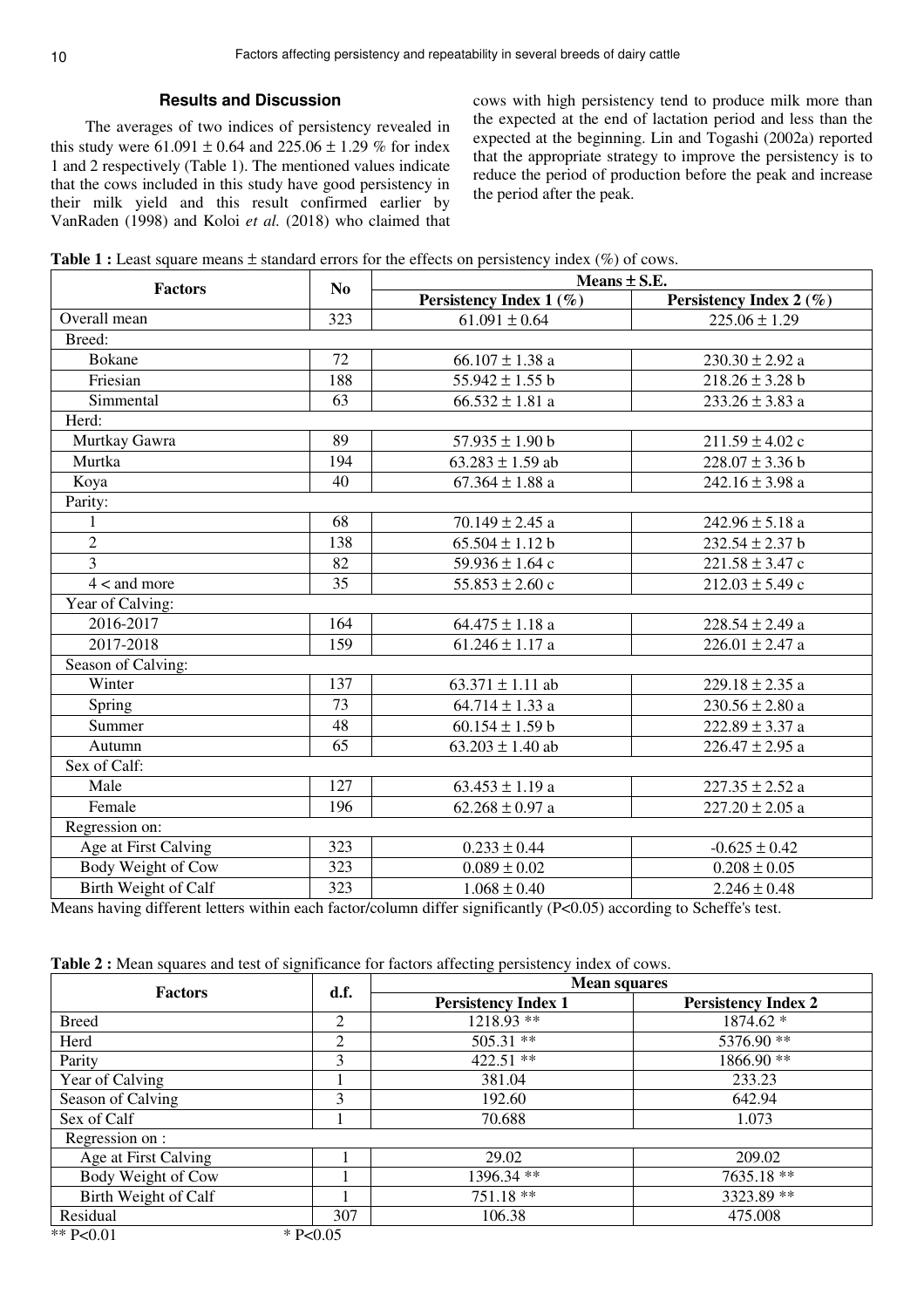## **Results and Discussion**

The averages of two indices of persistency revealed in this study were  $61.091 \pm 0.64$  and  $225.06 \pm 1.29$  % for index 1 and 2 respectively (Table 1). The mentioned values indicate that the cows included in this study have good persistency in their milk yield and this result confirmed earlier by VanRaden (1998) and Koloi *et al.* (2018) who claimed that cows with high persistency tend to produce milk more than the expected at the end of lactation period and less than the expected at the beginning. Lin and Togashi (2002a) reported that the appropriate strategy to improve the persistency is to reduce the period of production before the peak and increase the period after the peak.

|  |  |  | <b>Table 1 :</b> Least square means $\pm$ standard errors for the effects on persistency index (%) of cows. |
|--|--|--|-------------------------------------------------------------------------------------------------------------|
|  |  |  |                                                                                                             |

| <b>Factors</b>       |                | Means ± S.E.               |                         |  |  |
|----------------------|----------------|----------------------------|-------------------------|--|--|
|                      | N <sub>0</sub> | Persistency Index 1 $(\%)$ | Persistency Index 2 (%) |  |  |
| Overall mean         | 323            | $61.091 \pm 0.64$          | $225.06 \pm 1.29$       |  |  |
| Breed:               |                |                            |                         |  |  |
| <b>Bokane</b>        | 72             | $66.107 \pm 1.38$ a        | $230.30 \pm 2.92$ a     |  |  |
| Friesian             | 188            | 55.942 $\pm$ 1.55 b        | $218.26 \pm 3.28$ b     |  |  |
| Simmental            | 63             | $66.532 \pm 1.81$ a        | $233.26 \pm 3.83$ a     |  |  |
| Herd:                |                |                            |                         |  |  |
| Murtkay Gawra        | 89             | $57.935 \pm 1.90$ b        | $211.59 \pm 4.02$ c     |  |  |
| Murtka               | 194            | $63.283 \pm 1.59$ ab       | $228.07 \pm 3.36$ b     |  |  |
| Koya                 | 40             | $67.364 \pm 1.88$ a        | 242.16 $\pm$ 3.98 a     |  |  |
| Parity:              |                |                            |                         |  |  |
| $\mathbf{1}$         | 68             | 70.149 $\pm$ 2.45 a        | 242.96 $\pm$ 5.18 a     |  |  |
| $\overline{c}$       | 138            | $65.504 \pm 1.12$ b        | $232.54 \pm 2.37$ b     |  |  |
| $\overline{3}$       | 82             | 59.936 $\pm$ 1.64 c        | $221.58 \pm 3.47$ c     |  |  |
| $4 <$ and more       | 35             | $55.853 \pm 2.60$ c        | $212.03 \pm 5.49$ c     |  |  |
| Year of Calving:     |                |                            |                         |  |  |
| 2016-2017            | 164            | $64.475 \pm 1.18$ a        | $228.54 \pm 2.49$ a     |  |  |
| 2017-2018            | 159            | $61.246 \pm 1.17$ a        | $226.01 \pm 2.47$ a     |  |  |
| Season of Calving:   |                |                            |                         |  |  |
| Winter               | 137            | $63.371 \pm 1.11$ ab       | $229.18 \pm 2.35$ a     |  |  |
| <b>Spring</b>        | 73             | $64.714 \pm 1.33$ a        | $230.56 \pm 2.80$ a     |  |  |
| Summer               | 48             | $60.154 \pm 1.59$ b        | $222.89 \pm 3.37$ a     |  |  |
| Autumn               | 65             | $63.203 \pm 1.40$ ab       | $226.47 \pm 2.95$ a     |  |  |
| Sex of Calf:         |                |                            |                         |  |  |
| Male                 | 127            | $63.453 \pm 1.19$ a        | $227.35 \pm 2.52$ a     |  |  |
| Female               | 196            | $62.268 \pm 0.97$ a        | $227.20 \pm 2.05$ a     |  |  |
| Regression on:       |                |                            |                         |  |  |
| Age at First Calving | 323            | $0.233 \pm 0.44$           | $-0.625 \pm 0.42$       |  |  |
| Body Weight of Cow   | 323            | $0.089 \pm 0.02$           | $0.208 \pm 0.05$        |  |  |
| Birth Weight of Calf | 323            | $1.068 \pm 0.40$           | $2.246 \pm 0.48$        |  |  |

Means having different letters within each factor/column differ significantly (P<0.05) according to Scheffe's test.

| Table 2 : Mean squares and test of significance for factors affecting persistency index of cows. |  |
|--------------------------------------------------------------------------------------------------|--|
|                                                                                                  |  |

| <b>Factors</b>       | d.f.           | <b>Mean squares</b>        |                            |  |
|----------------------|----------------|----------------------------|----------------------------|--|
|                      |                | <b>Persistency Index 1</b> | <b>Persistency Index 2</b> |  |
| <b>Breed</b>         | $\overline{2}$ | $1218.93$ **               | 1874.62 *                  |  |
| Herd                 | $\overline{2}$ | $505.31$ **                | 5376.90**                  |  |
| Parity               | 3              | $422.51$ **                | 1866.90**                  |  |
| Year of Calving      |                | 381.04                     | 233.23                     |  |
| Season of Calving    | 3              | 192.60                     | 642.94                     |  |
| Sex of Calf          |                | 70.688                     | 1.073                      |  |
| Regression on :      |                |                            |                            |  |
| Age at First Calving |                | 29.02                      | 209.02                     |  |
| Body Weight of Cow   |                | 1396.34 **                 | 7635.18 **                 |  |
| Birth Weight of Calf |                | $751.18**$                 | 3323.89 **                 |  |
| Residual             | 307            | 106.38                     | 475.008                    |  |
| ** $P<0.01$          | $*$ P<0.05     |                            |                            |  |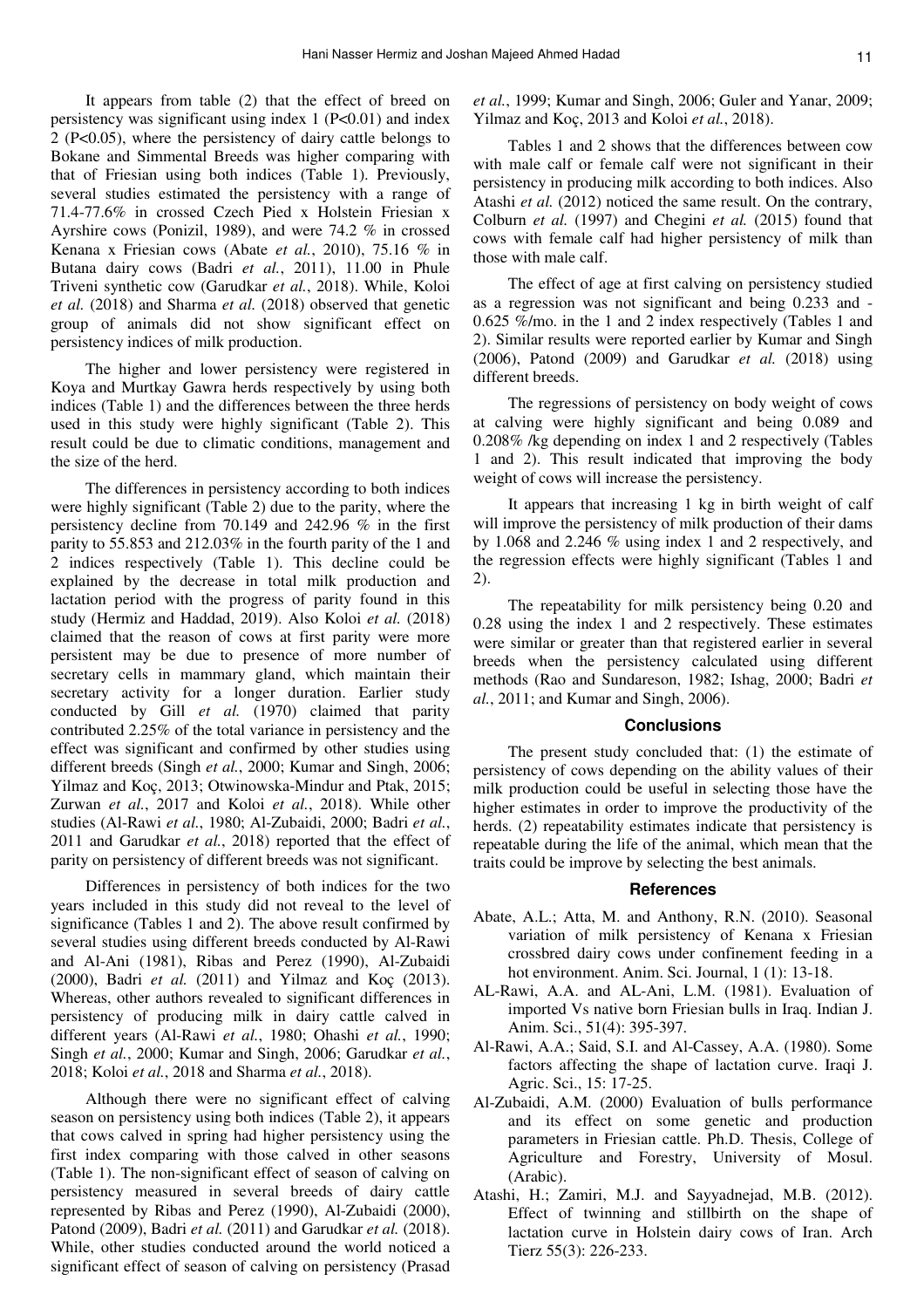It appears from table (2) that the effect of breed on persistency was significant using index 1 (P<0.01) and index 2 (P<0.05), where the persistency of dairy cattle belongs to Bokane and Simmental Breeds was higher comparing with that of Friesian using both indices (Table 1). Previously, several studies estimated the persistency with a range of 71.4-77.6% in crossed Czech Pied x Holstein Friesian x Ayrshire cows (Ponizil, 1989), and were 74.2 % in crossed Kenana x Friesian cows (Abate *et al.*, 2010), 75.16 % in Butana dairy cows (Badri *et al.*, 2011), 11.00 in Phule Triveni synthetic cow (Garudkar *et al.*, 2018). While, Koloi *et al.* (2018) and Sharma *et al.* (2018) observed that genetic group of animals did not show significant effect on persistency indices of milk production.

The higher and lower persistency were registered in Koya and Murtkay Gawra herds respectively by using both indices (Table 1) and the differences between the three herds used in this study were highly significant (Table 2). This result could be due to climatic conditions, management and the size of the herd.

The differences in persistency according to both indices were highly significant (Table 2) due to the parity, where the persistency decline from 70.149 and 242.96 % in the first parity to 55.853 and 212.03% in the fourth parity of the 1 and 2 indices respectively (Table 1). This decline could be explained by the decrease in total milk production and lactation period with the progress of parity found in this study (Hermiz and Haddad, 2019). Also Koloi *et al.* (2018) claimed that the reason of cows at first parity were more persistent may be due to presence of more number of secretary cells in mammary gland, which maintain their secretary activity for a longer duration. Earlier study conducted by Gill *et al.* (1970) claimed that parity contributed 2.25% of the total variance in persistency and the effect was significant and confirmed by other studies using different breeds (Singh *et al.*, 2000; Kumar and Singh, 2006; Yilmaz and Koç, 2013; Otwinowska-Mindur and Ptak, 2015; Zurwan *et al.*, 2017 and Koloi *et al.*, 2018). While other studies (Al-Rawi *et al.*, 1980; Al-Zubaidi, 2000; Badri *et al.*, 2011 and Garudkar *et al.*, 2018) reported that the effect of parity on persistency of different breeds was not significant.

Differences in persistency of both indices for the two years included in this study did not reveal to the level of significance (Tables 1 and 2). The above result confirmed by several studies using different breeds conducted by Al-Rawi and Al-Ani (1981), Ribas and Perez (1990), Al-Zubaidi (2000), Badri *et al.* (2011) and Yilmaz and Koç (2013). Whereas, other authors revealed to significant differences in persistency of producing milk in dairy cattle calved in different years (Al-Rawi *et al.*, 1980; Ohashi *et al.*, 1990; Singh *et al.*, 2000; Kumar and Singh, 2006; Garudkar *et al.*, 2018; Koloi *et al.*, 2018 and Sharma *et al.*, 2018).

Although there were no significant effect of calving season on persistency using both indices (Table 2), it appears that cows calved in spring had higher persistency using the first index comparing with those calved in other seasons (Table 1). The non-significant effect of season of calving on persistency measured in several breeds of dairy cattle represented by Ribas and Perez (1990), Al-Zubaidi (2000), Patond (2009), Badri *et al.* (2011) and Garudkar *et al.* (2018). While, other studies conducted around the world noticed a significant effect of season of calving on persistency (Prasad *et al.*, 1999; Kumar and Singh, 2006; Guler and Yanar, 2009; Yilmaz and Koç, 2013 and Koloi *et al.*, 2018).

Tables 1 and 2 shows that the differences between cow with male calf or female calf were not significant in their persistency in producing milk according to both indices. Also Atashi *et al.* (2012) noticed the same result. On the contrary, Colburn *et al.* (1997) and Chegini *et al.* (2015) found that cows with female calf had higher persistency of milk than those with male calf.

The effect of age at first calving on persistency studied as a regression was not significant and being 0.233 and - 0.625 %/mo. in the 1 and 2 index respectively (Tables 1 and 2). Similar results were reported earlier by Kumar and Singh (2006), Patond (2009) and Garudkar *et al.* (2018) using different breeds.

The regressions of persistency on body weight of cows at calving were highly significant and being 0.089 and 0.208% /kg depending on index 1 and 2 respectively (Tables 1 and 2). This result indicated that improving the body weight of cows will increase the persistency.

It appears that increasing 1 kg in birth weight of calf will improve the persistency of milk production of their dams by 1.068 and 2.246 % using index 1 and 2 respectively, and the regression effects were highly significant (Tables 1 and 2).

The repeatability for milk persistency being 0.20 and 0.28 using the index 1 and 2 respectively. These estimates were similar or greater than that registered earlier in several breeds when the persistency calculated using different methods (Rao and Sundareson, 1982; Ishag, 2000; Badri *et al.*, 2011; and Kumar and Singh, 2006).

#### **Conclusions**

The present study concluded that: (1) the estimate of persistency of cows depending on the ability values of their milk production could be useful in selecting those have the higher estimates in order to improve the productivity of the herds. (2) repeatability estimates indicate that persistency is repeatable during the life of the animal, which mean that the traits could be improve by selecting the best animals.

### **References**

- Abate, A.L.; Atta, M. and Anthony, R.N. (2010). Seasonal variation of milk persistency of Kenana x Friesian crossbred dairy cows under confinement feeding in a hot environment. Anim. Sci. Journal, 1 (1): 13-18.
- AL-Rawi, A.A. and AL-Ani, L.M. (1981). Evaluation of imported Vs native born Friesian bulls in Iraq. Indian J. Anim. Sci., 51(4): 395-397.
- Al-Rawi, A.A.; Said, S.I. and Al-Cassey, A.A. (1980). Some factors affecting the shape of lactation curve. Iraqi J. Agric. Sci., 15: 17-25.
- Al-Zubaidi, A.M. (2000) Evaluation of bulls performance and its effect on some genetic and production parameters in Friesian cattle. Ph.D. Thesis, College of Agriculture and Forestry, University of Mosul. (Arabic).
- Atashi, H.; Zamiri, M.J. and Sayyadnejad, M.B. (2012). Effect of twinning and stillbirth on the shape of lactation curve in Holstein dairy cows of Iran. Arch Tierz 55(3): 226-233.